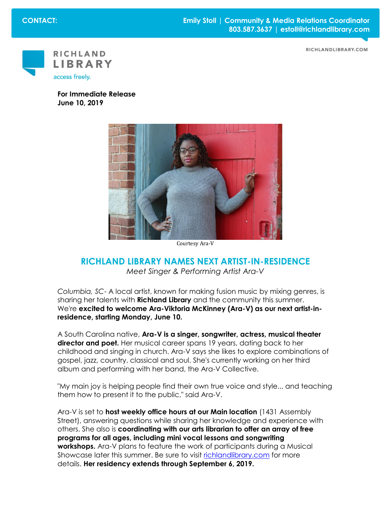RICHLANDLIBRARY.COM



**For Immediate Release June 10, 2019**



Courtesy Ara-V

## **RICHLAND LIBRARY NAMES NEXT ARTIST-IN-RESIDENCE** *Meet Singer & Performing Artist Ara-V*

*Columbia, SC*- A local artist, known for making fusion music by mixing genres, is sharing her talents with **Richland Library** and the community this summer. We're **excited to welcome Ara-Viktoria McKinney (Ara-V) as our next artist-inresidence, starting Monday, June 10.**

A South Carolina native, **Ara-V is a singer, songwriter, actress, musical theater director and poet.** Her musical career spans 19 years, dating back to her childhood and singing in church. Ara-V says she likes to explore combinations of gospel, jazz, country, classical and soul. She's currently working on her third album and performing with her band, the Ara-V Collective.

"My main joy is helping people find their own true voice and style... and teaching them how to present it to the public," said Ara-V.

Ara-V is set to **host weekly office hours at our Main location** (1431 Assembly Street), answering questions while sharing her knowledge and experience with others. She also is **coordinating with our arts librarian to offer an array of free programs for all ages, including mini vocal lessons and songwriting workshops.** Ara-V plans to feature the work of participants during a Musical Showcase later this summer. Be sure to visit [richlandlibrary.com](http://www.richlandlibrary.com/) for more details. **Her residency extends through September 6, 2019.**